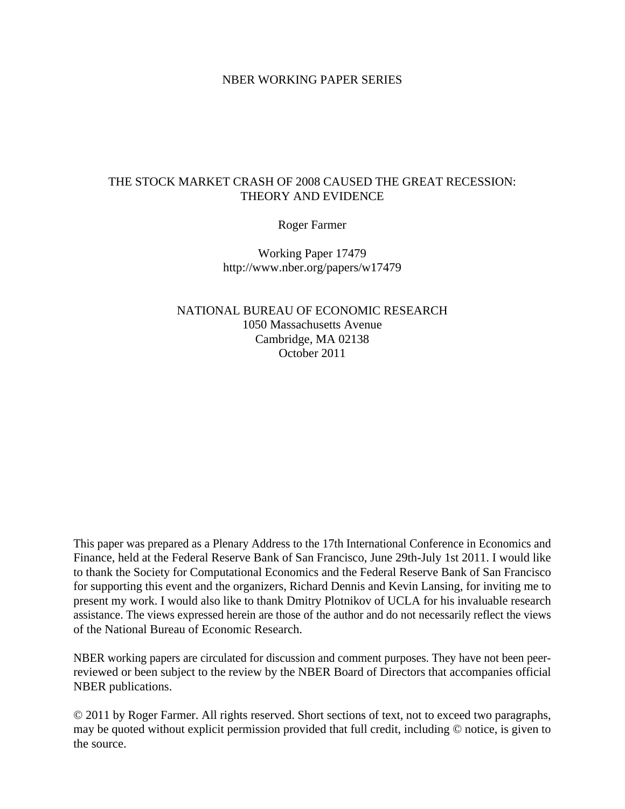#### NBER WORKING PAPER SERIES

## THE STOCK MARKET CRASH OF 2008 CAUSED THE GREAT RECESSION: THEORY AND EVIDENCE

Roger Farmer

Working Paper 17479 http://www.nber.org/papers/w17479

NATIONAL BUREAU OF ECONOMIC RESEARCH 1050 Massachusetts Avenue Cambridge, MA 02138 October 2011

This paper was prepared as a Plenary Address to the 17th International Conference in Economics and Finance, held at the Federal Reserve Bank of San Francisco, June 29th-July 1st 2011. I would like to thank the Society for Computational Economics and the Federal Reserve Bank of San Francisco for supporting this event and the organizers, Richard Dennis and Kevin Lansing, for inviting me to present my work. I would also like to thank Dmitry Plotnikov of UCLA for his invaluable research assistance. The views expressed herein are those of the author and do not necessarily reflect the views of the National Bureau of Economic Research.

NBER working papers are circulated for discussion and comment purposes. They have not been peerreviewed or been subject to the review by the NBER Board of Directors that accompanies official NBER publications.

© 2011 by Roger Farmer. All rights reserved. Short sections of text, not to exceed two paragraphs, may be quoted without explicit permission provided that full credit, including © notice, is given to the source.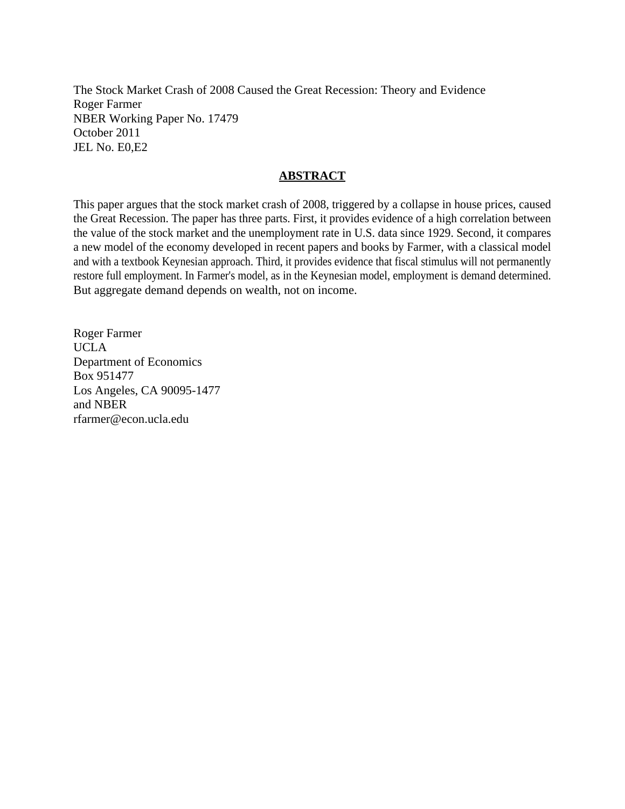The Stock Market Crash of 2008 Caused the Great Recession: Theory and Evidence Roger Farmer NBER Working Paper No. 17479 October 2011 JEL No. E0,E2

## **ABSTRACT**

This paper argues that the stock market crash of 2008, triggered by a collapse in house prices, caused the Great Recession. The paper has three parts. First, it provides evidence of a high correlation between the value of the stock market and the unemployment rate in U.S. data since 1929. Second, it compares a new model of the economy developed in recent papers and books by Farmer, with a classical model and with a textbook Keynesian approach. Third, it provides evidence that fiscal stimulus will not permanently restore full employment. In Farmer's model, as in the Keynesian model, employment is demand determined. But aggregate demand depends on wealth, not on income.

Roger Farmer UCLA Department of Economics Box 951477 Los Angeles, CA 90095-1477 and NBER rfarmer@econ.ucla.edu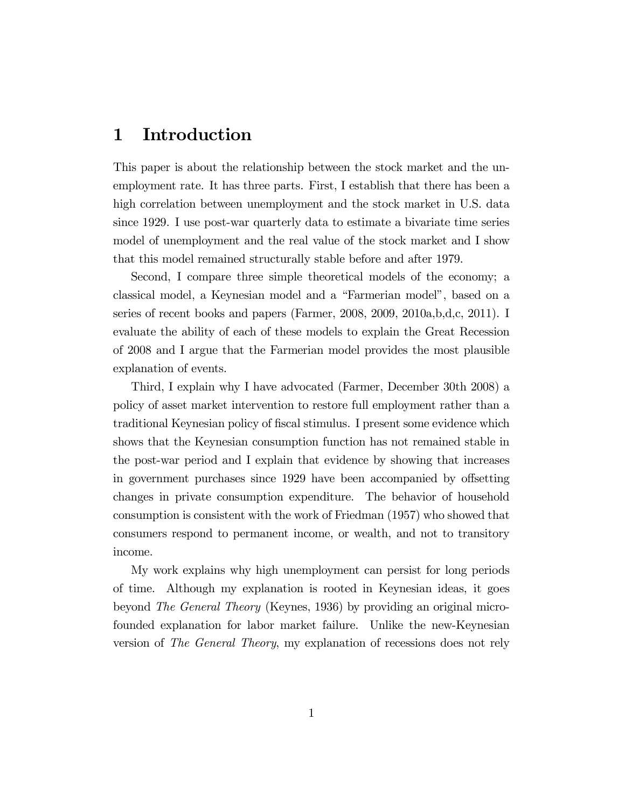## 1 Introduction

This paper is about the relationship between the stock market and the unemployment rate. It has three parts. First, I establish that there has been a high correlation between unemployment and the stock market in U.S. data since 1929. I use post-war quarterly data to estimate a bivariate time series model of unemployment and the real value of the stock market and I show that this model remained structurally stable before and after 1979.

Second, I compare three simple theoretical models of the economy; a classical model, a Keynesian model and a "Farmerian model", based on a series of recent books and papers (Farmer, 2008, 2009, 2010a,b,d,c, 2011). I evaluate the ability of each of these models to explain the Great Recession of 2008 and I argue that the Farmerian model provides the most plausible explanation of events.

Third, I explain why I have advocated (Farmer, December 30th 2008) a policy of asset market intervention to restore full employment rather than a traditional Keynesian policy of fiscal stimulus. I present some evidence which shows that the Keynesian consumption function has not remained stable in the post-war period and I explain that evidence by showing that increases in government purchases since 1929 have been accompanied by offsetting changes in private consumption expenditure. The behavior of household consumption is consistent with the work of Friedman (1957) who showed that consumers respond to permanent income, or wealth, and not to transitory income.

My work explains why high unemployment can persist for long periods of time. Although my explanation is rooted in Keynesian ideas, it goes beyond The General Theory (Keynes, 1936) by providing an original microfounded explanation for labor market failure. Unlike the new-Keynesian version of The General Theory, my explanation of recessions does not rely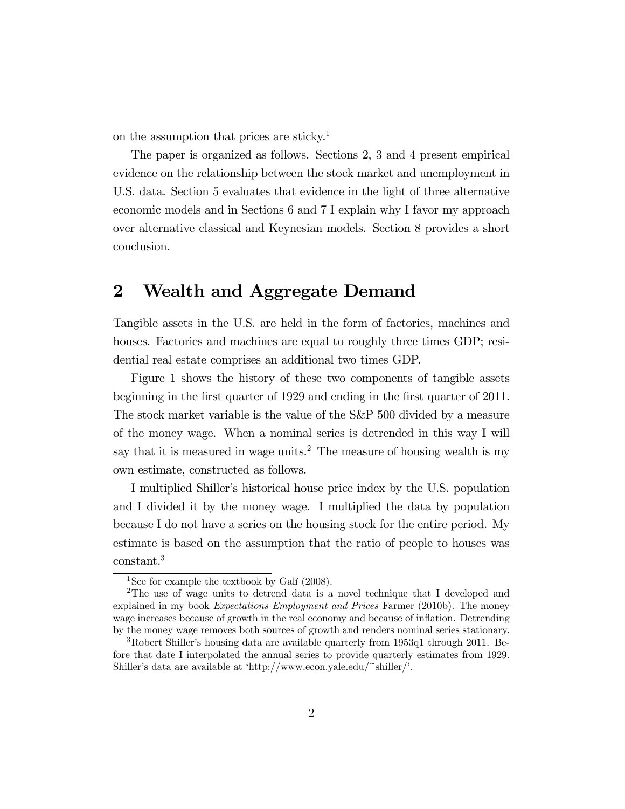on the assumption that prices are sticky.<sup>1</sup>

The paper is organized as follows. Sections 2, 3 and 4 present empirical evidence on the relationship between the stock market and unemployment in U.S. data. Section 5 evaluates that evidence in the light of three alternative economic models and in Sections 6 and 7 I explain why I favor my approach over alternative classical and Keynesian models. Section 8 provides a short conclusion.

## 2 Wealth and Aggregate Demand

Tangible assets in the U.S. are held in the form of factories, machines and houses. Factories and machines are equal to roughly three times GDP; residential real estate comprises an additional two times GDP.

Figure 1 shows the history of these two components of tangible assets beginning in the first quarter of 1929 and ending in the first quarter of 2011. The stock market variable is the value of the S&P 500 divided by a measure of the money wage. When a nominal series is detrended in this way I will say that it is measured in wage units.<sup>2</sup> The measure of housing wealth is my own estimate, constructed as follows.

I multiplied Shiller's historical house price index by the U.S. population and I divided it by the money wage. I multiplied the data by population because I do not have a series on the housing stock for the entire period. My estimate is based on the assumption that the ratio of people to houses was constant.3

<sup>&</sup>lt;sup>1</sup>See for example the textbook by Galí  $(2008)$ .

<sup>2</sup>The use of wage units to detrend data is a novel technique that I developed and explained in my book Expectations Employment and Prices Farmer (2010b). The money wage increases because of growth in the real economy and because of inflation. Detrending by the money wage removes both sources of growth and renders nominal series stationary.

<sup>&</sup>lt;sup>3</sup>Robert Shiller's housing data are available quarterly from 1953q1 through 2011. Before that date I interpolated the annual series to provide quarterly estimates from 1929. Shiller's data are available at 'http://www.econ.yale.edu/~shiller/'.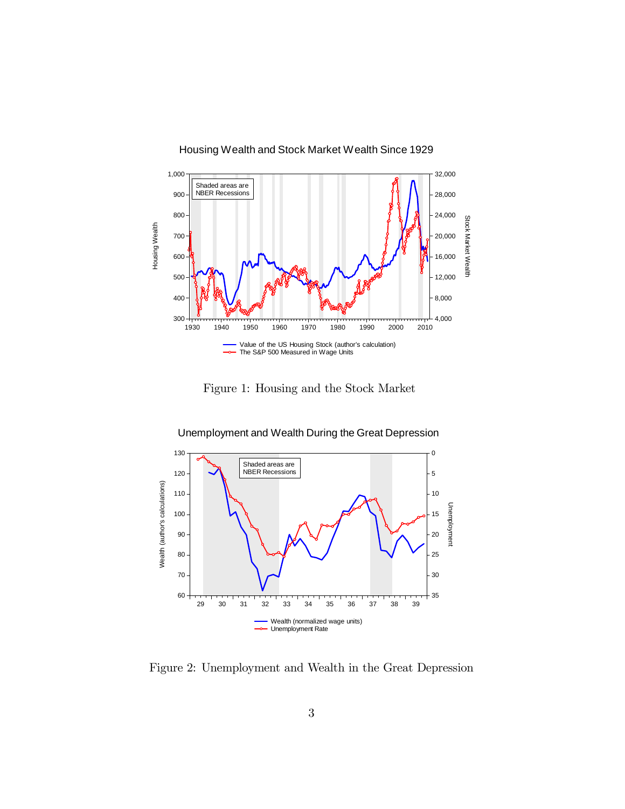

Figure 1: Housing and the Stock Market



Unemployment and Wealth During the Great Depression

Figure 2: Unemployment and Wealth in the Great Depression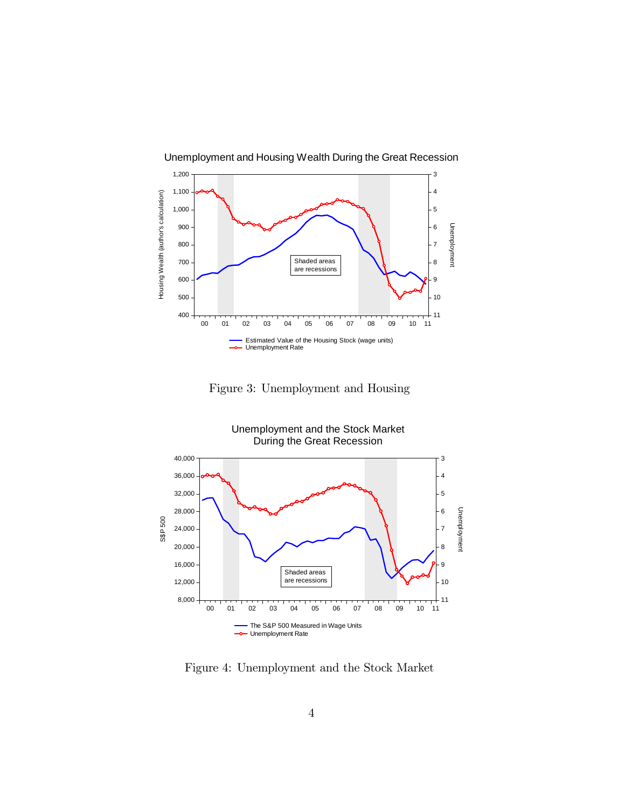

Unemployment and Housing Wealth During the Great Recession

Figure 3: Unemployment and Housing



Figure 4: Unemployment and the Stock Market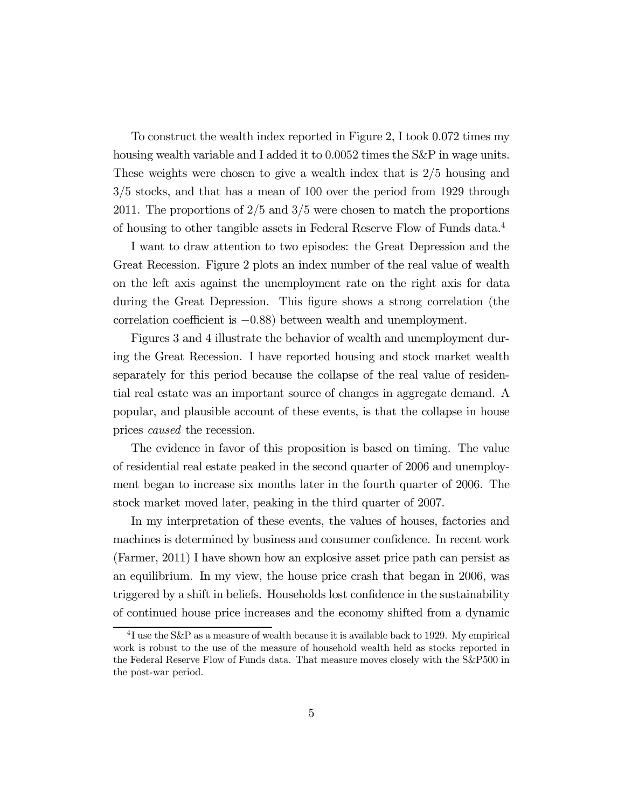To construct the wealth index reported in Figure 2, I took 0072 times my housing wealth variable and I added it to 0.0052 times the S&P in wage units. These weights were chosen to give a wealth index that is  $2/5$  housing and  $3/5$  stocks, and that has a mean of 100 over the period from 1929 through 2011. The proportions of  $2/5$  and  $3/5$  were chosen to match the proportions of housing to other tangible assets in Federal Reserve Flow of Funds data.4

I want to draw attention to two episodes: the Great Depression and the Great Recession. Figure 2 plots an index number of the real value of wealth on the left axis against the unemployment rate on the right axis for data during the Great Depression. This figure shows a strong correlation (the correlation coefficient is −088) between wealth and unemployment.

Figures 3 and 4 illustrate the behavior of wealth and unemployment during the Great Recession. I have reported housing and stock market wealth separately for this period because the collapse of the real value of residential real estate was an important source of changes in aggregate demand. A popular, and plausible account of these events, is that the collapse in house prices caused the recession.

The evidence in favor of this proposition is based on timing. The value of residential real estate peaked in the second quarter of 2006 and unemployment began to increase six months later in the fourth quarter of 2006. The stock market moved later, peaking in the third quarter of 2007.

In my interpretation of these events, the values of houses, factories and machines is determined by business and consumer confidence. In recent work (Farmer, 2011) I have shown how an explosive asset price path can persist as an equilibrium. In my view, the house price crash that began in 2006, was triggered by a shift in beliefs. Households lost confidence in the sustainability of continued house price increases and the economy shifted from a dynamic

<sup>&</sup>lt;sup>4</sup>I use the S&P as a measure of wealth because it is available back to 1929. My empirical work is robust to the use of the measure of household wealth held as stocks reported in the Federal Reserve Flow of Funds data. That measure moves closely with the S&P500 in the post-war period.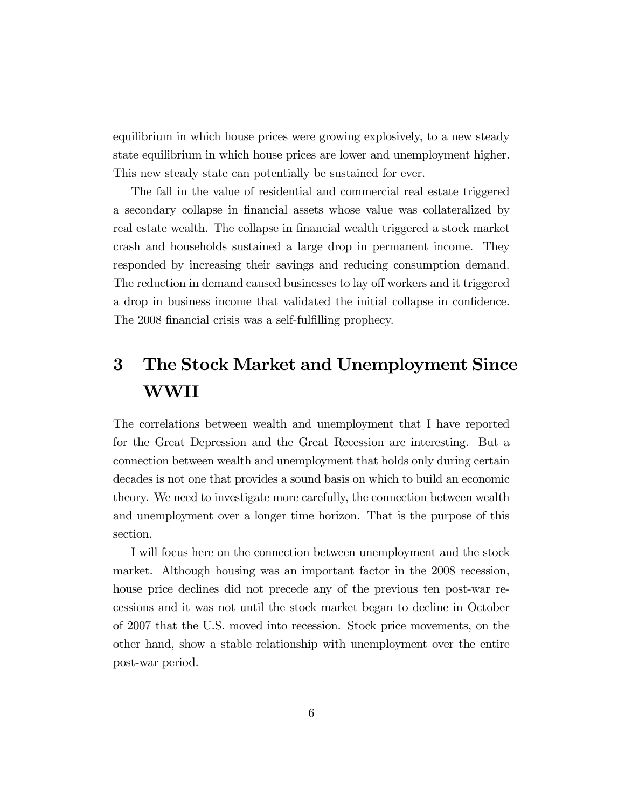equilibrium in which house prices were growing explosively, to a new steady state equilibrium in which house prices are lower and unemployment higher. This new steady state can potentially be sustained for ever.

The fall in the value of residential and commercial real estate triggered a secondary collapse in financial assets whose value was collateralized by real estate wealth. The collapse in financial wealth triggered a stock market crash and households sustained a large drop in permanent income. They responded by increasing their savings and reducing consumption demand. The reduction in demand caused businesses to lay off workers and it triggered a drop in business income that validated the initial collapse in confidence. The 2008 financial crisis was a self-fulfilling prophecy.

# 3 The Stock Market and Unemployment Since WWII

The correlations between wealth and unemployment that I have reported for the Great Depression and the Great Recession are interesting. But a connection between wealth and unemployment that holds only during certain decades is not one that provides a sound basis on which to build an economic theory. We need to investigate more carefully, the connection between wealth and unemployment over a longer time horizon. That is the purpose of this section.

I will focus here on the connection between unemployment and the stock market. Although housing was an important factor in the 2008 recession, house price declines did not precede any of the previous ten post-war recessions and it was not until the stock market began to decline in October of 2007 that the U.S. moved into recession. Stock price movements, on the other hand, show a stable relationship with unemployment over the entire post-war period.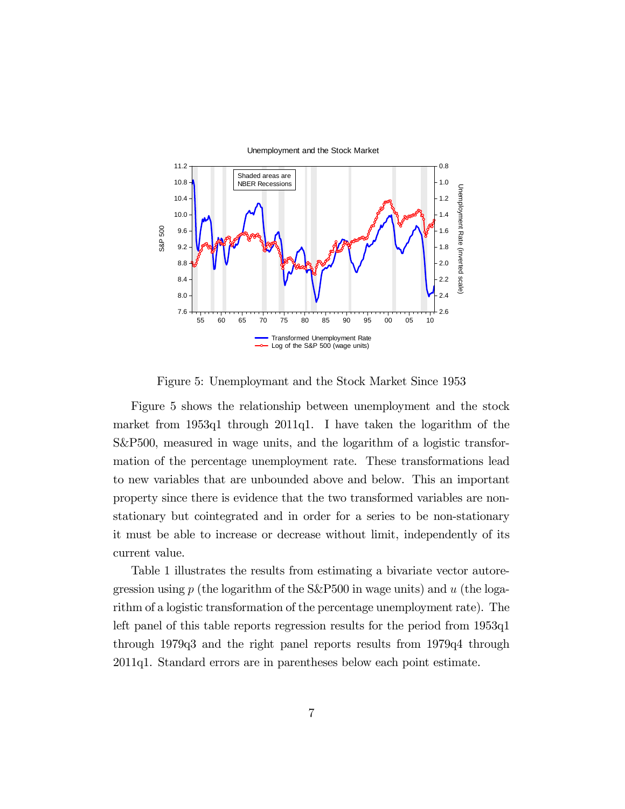

Figure 5: Unemploymant and the Stock Market Since 1953

Figure 5 shows the relationship between unemployment and the stock market from 1953q1 through 2011q1. I have taken the logarithm of the S&P500, measured in wage units, and the logarithm of a logistic transformation of the percentage unemployment rate. These transformations lead to new variables that are unbounded above and below. This an important property since there is evidence that the two transformed variables are nonstationary but cointegrated and in order for a series to be non-stationary it must be able to increase or decrease without limit, independently of its current value.

Table 1 illustrates the results from estimating a bivariate vector autoregression using  $p$  (the logarithm of the S&P500 in wage units) and  $u$  (the logarithm of a logistic transformation of the percentage unemployment rate). The left panel of this table reports regression results for the period from 1953q1 through 1979q3 and the right panel reports results from 1979q4 through 2011q1. Standard errors are in parentheses below each point estimate.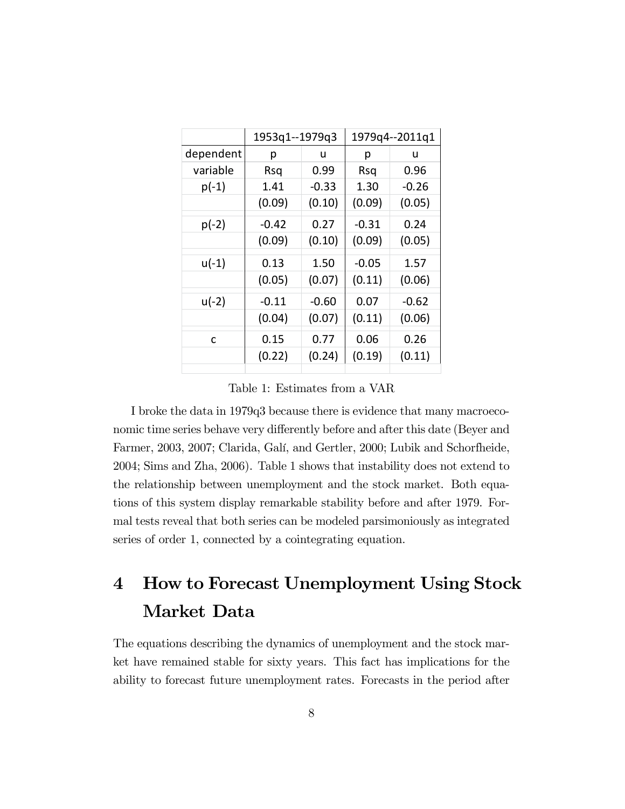|           | 1953q1--1979q3 |         | 1979q4 -- 2011q1 |        |
|-----------|----------------|---------|------------------|--------|
| dependent | р              | u       | р                | u      |
| variable  | Rsq            | 0.99    | Rsq              | 0.96   |
| $p(-1)$   | 1.41           | $-0.33$ | 1.30             | -0.26  |
|           | (0.09)         | (0.10)  | (0.09)           | (0.05) |
| $p(-2)$   | $-0.42$        | 0.27    | $-0.31$          | 0.24   |
|           | (0.09)         | (0.10)  | (0.09)           | (0.05) |
| $u(-1)$   | 0.13           | 1.50    | $-0.05$          | 1.57   |
|           | (0.05)         | (0.07)  | (0.11)           | (0.06) |
| $u(-2)$   | $-0.11$        | $-0.60$ | 0.07             | -0.62  |
|           | (0.04)         | (0.07)  | (0.11)           | (0.06) |
| C         | 0.15           | 0.77    | 0.06             | 0.26   |
|           | (0.22)         | (0.24)  | (0.19)           | (0.11) |
|           |                |         |                  |        |

Table 1: Estimates from a VAR

I broke the data in 1979q3 because there is evidence that many macroeconomic time series behave very differently before and after this date (Beyer and Farmer, 2003, 2007; Clarida, Galí, and Gertler, 2000; Lubik and Schorfheide, 2004; Sims and Zha, 2006). Table 1 shows that instability does not extend to the relationship between unemployment and the stock market. Both equations of this system display remarkable stability before and after 1979. Formal tests reveal that both series can be modeled parsimoniously as integrated series of order 1, connected by a cointegrating equation.

# 4 How to Forecast Unemployment Using Stock Market Data

The equations describing the dynamics of unemployment and the stock market have remained stable for sixty years. This fact has implications for the ability to forecast future unemployment rates. Forecasts in the period after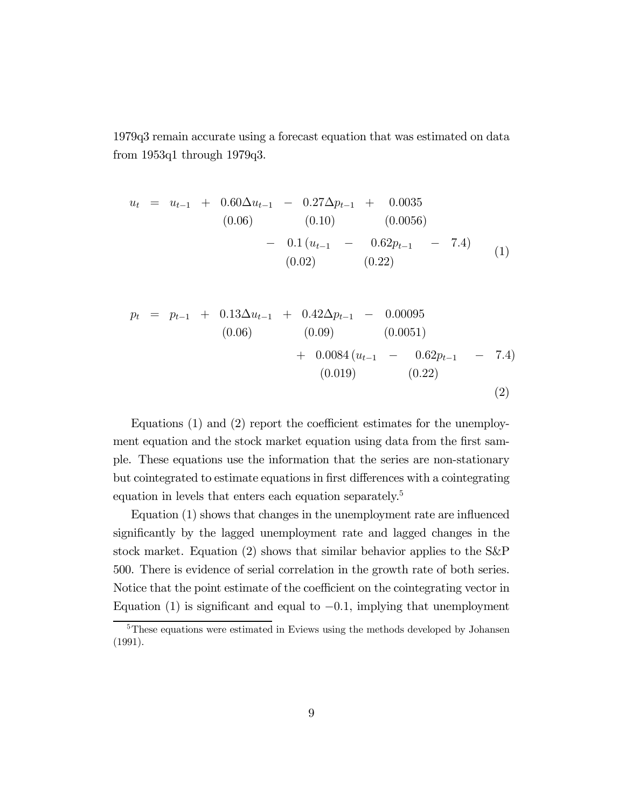1979q3 remain accurate using a forecast equation that was estimated on data from 1953q1 through 1979q3.

$$
u_{t} = u_{t-1} + 0.60\Delta u_{t-1} - 0.27\Delta p_{t-1} + 0.0035
$$
  
\n
$$
(0.06) \qquad (0.10) \qquad (0.0056)
$$
  
\n
$$
- 0.1 (u_{t-1} - 0.62p_{t-1} - 7.4)
$$
  
\n
$$
(0.02) \qquad (0.22)
$$
 (1)

$$
p_{t} = p_{t-1} + 0.13\Delta u_{t-1} + 0.42\Delta p_{t-1} - 0.00095
$$
  
\n
$$
(0.06) \qquad (0.09) \qquad (0.0051)
$$
  
\n
$$
+ 0.0084 (u_{t-1} - 0.62p_{t-1} - 7.4)
$$
  
\n
$$
(0.019) \qquad (0.22)
$$
  
\n(2)

Equations (1) and (2) report the coefficient estimates for the unemployment equation and the stock market equation using data from the first sample. These equations use the information that the series are non-stationary but cointegrated to estimate equations in first differences with a cointegrating equation in levels that enters each equation separately.<sup>5</sup>

Equation (1) shows that changes in the unemployment rate are influenced significantly by the lagged unemployment rate and lagged changes in the stock market. Equation (2) shows that similar behavior applies to the S&P 500. There is evidence of serial correlation in the growth rate of both series. Notice that the point estimate of the coefficient on the cointegrating vector in Equation (1) is significant and equal to  $-0.1$ , implying that unemployment

<sup>&</sup>lt;sup>5</sup>These equations were estimated in Eviews using the methods developed by Johansen (1991).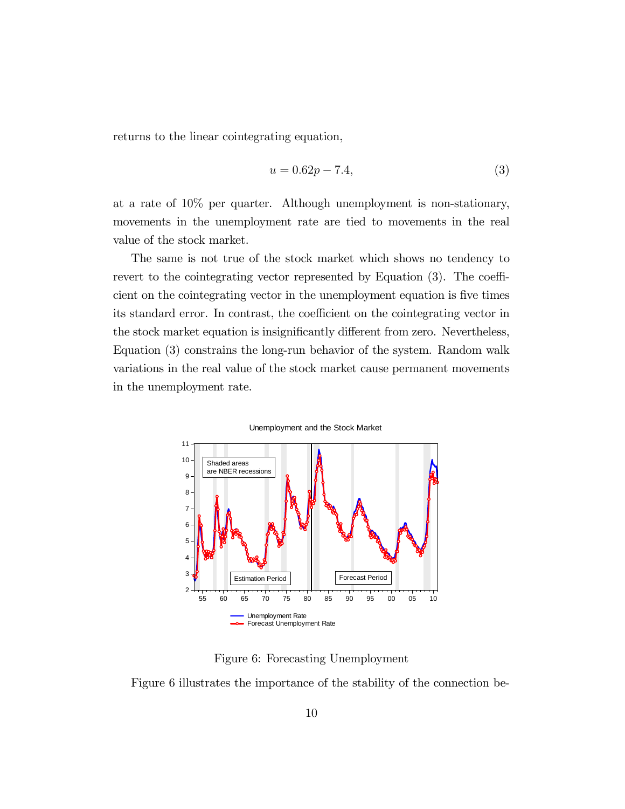returns to the linear cointegrating equation,

$$
u = 0.62p - 7.4,\t\t(3)
$$

at a rate of 10% per quarter. Although unemployment is non-stationary, movements in the unemployment rate are tied to movements in the real value of the stock market.

The same is not true of the stock market which shows no tendency to revert to the cointegrating vector represented by Equation (3). The coefficient on the cointegrating vector in the unemployment equation is five times its standard error. In contrast, the coefficient on the cointegrating vector in the stock market equation is insignificantly different from zero. Nevertheless, Equation (3) constrains the long-run behavior of the system. Random walk variations in the real value of the stock market cause permanent movements in the unemployment rate.



Unemployment and the Stock Market

Figure 6: Forecasting Unemployment

Figure 6 illustrates the importance of the stability of the connection be-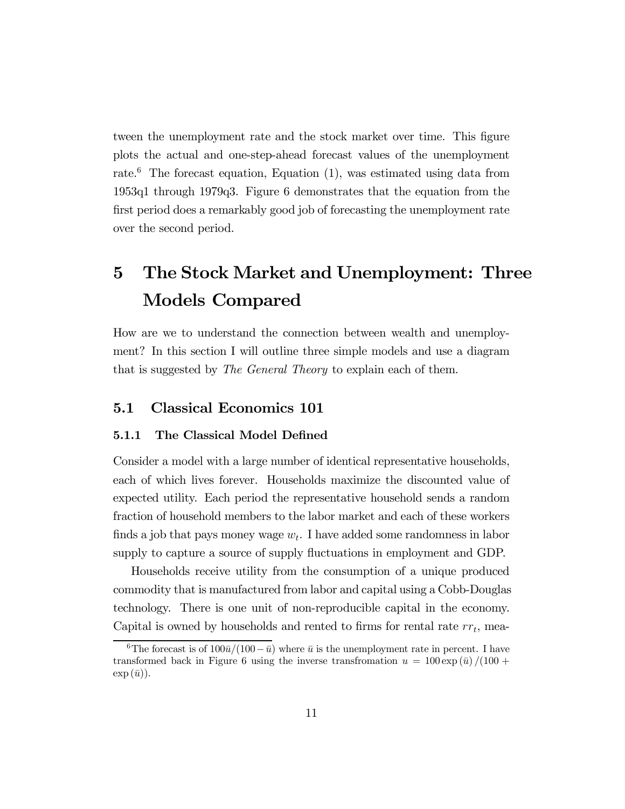tween the unemployment rate and the stock market over time. This figure plots the actual and one-step-ahead forecast values of the unemployment rate.<sup>6</sup> The forecast equation, Equation  $(1)$ , was estimated using data from 1953q1 through 1979q3. Figure 6 demonstrates that the equation from the first period does a remarkably good job of forecasting the unemployment rate over the second period.

# 5 The Stock Market and Unemployment: Three Models Compared

How are we to understand the connection between wealth and unemployment? In this section I will outline three simple models and use a diagram that is suggested by The General Theory to explain each of them.

### 5.1 Classical Economics 101

## 5.1.1 The Classical Model Defined

Consider a model with a large number of identical representative households, each of which lives forever. Households maximize the discounted value of expected utility. Each period the representative household sends a random fraction of household members to the labor market and each of these workers finds a job that pays money wage  $w_t$ . I have added some randomness in labor supply to capture a source of supply fluctuations in employment and GDP.

Households receive utility from the consumption of a unique produced commodity that is manufactured from labor and capital using a Cobb-Douglas technology. There is one unit of non-reproducible capital in the economy. Capital is owned by households and rented to firms for rental rate  $rr_t$ , mea-

<sup>&</sup>lt;sup>6</sup>The forecast is of  $100\bar{u}/(100-\bar{u})$  where  $\bar{u}$  is the unemployment rate in percent. I have transformed back in Figure 6 using the inverse transfromation  $u = 100 \exp(\bar{u})/(100 +$  $\exp{(\bar{u})}$ .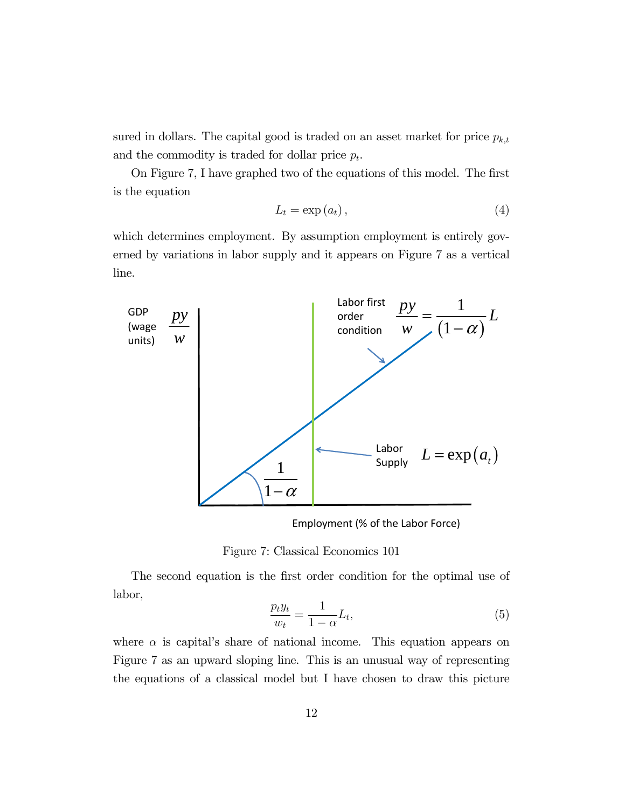sured in dollars. The capital good is traded on an asset market for price  $p_{k,t}$ and the commodity is traded for dollar price  $p_t$ .

On Figure 7, I have graphed two of the equations of this model. The first is the equation

$$
L_t = \exp(a_t), \tag{4}
$$

which determines employment. By assumption employment is entirely governed by variations in labor supply and it appears on Figure 7 as a vertical line.



Employment (% of the Labor Force)



The second equation is the first order condition for the optimal use of labor,

$$
\frac{p_t y_t}{w_t} = \frac{1}{1 - \alpha} L_t,\tag{5}
$$

where  $\alpha$  is capital's share of national income. This equation appears on Figure 7 as an upward sloping line. This is an unusual way of representing the equations of a classical model but I have chosen to draw this picture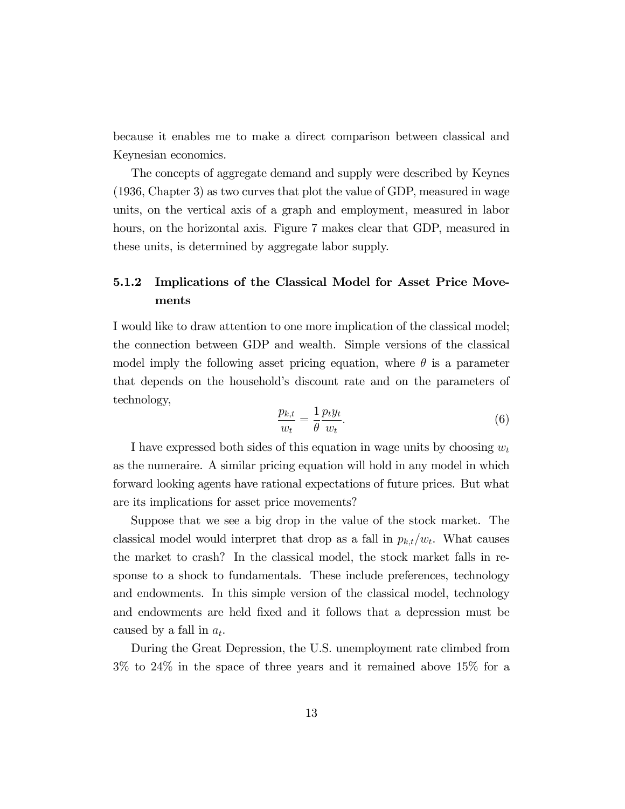because it enables me to make a direct comparison between classical and Keynesian economics.

The concepts of aggregate demand and supply were described by Keynes (1936, Chapter 3) as two curves that plot the value of GDP, measured in wage units, on the vertical axis of a graph and employment, measured in labor hours, on the horizontal axis. Figure 7 makes clear that GDP, measured in these units, is determined by aggregate labor supply.

## 5.1.2 Implications of the Classical Model for Asset Price Movements

I would like to draw attention to one more implication of the classical model; the connection between GDP and wealth. Simple versions of the classical model imply the following asset pricing equation, where  $\theta$  is a parameter that depends on the household's discount rate and on the parameters of technology,

$$
\frac{p_{k,t}}{w_t} = \frac{1}{\theta} \frac{p_t y_t}{w_t}.
$$
\n<sup>(6)</sup>

I have expressed both sides of this equation in wage units by choosing  $w_t$ as the numeraire. A similar pricing equation will hold in any model in which forward looking agents have rational expectations of future prices. But what are its implications for asset price movements?

Suppose that we see a big drop in the value of the stock market. The classical model would interpret that drop as a fall in  $p_{k,t}/w_t$ . What causes the market to crash? In the classical model, the stock market falls in response to a shock to fundamentals. These include preferences, technology and endowments. In this simple version of the classical model, technology and endowments are held fixed and it follows that a depression must be caused by a fall in  $a_t$ .

During the Great Depression, the U.S. unemployment rate climbed from 3% to 24% in the space of three years and it remained above 15% for a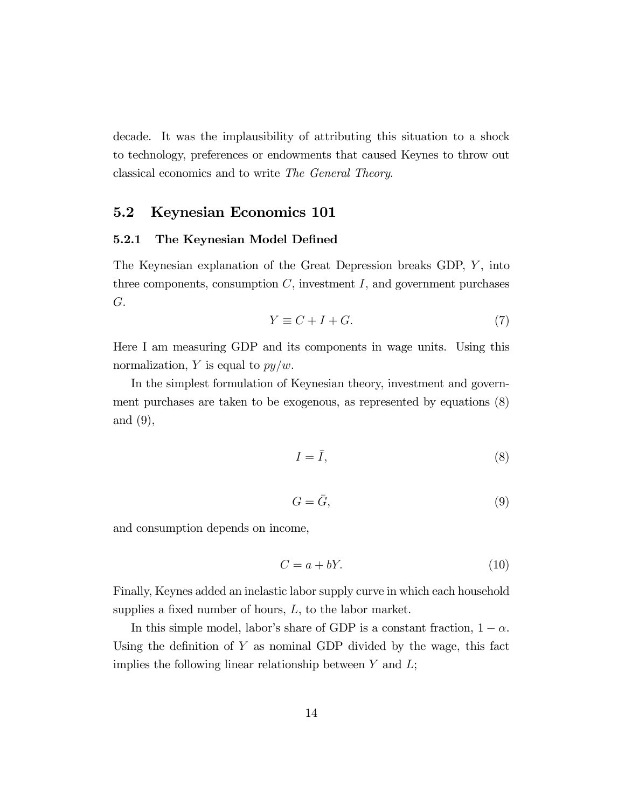decade. It was the implausibility of attributing this situation to a shock to technology, preferences or endowments that caused Keynes to throw out classical economics and to write The General Theory.

## 5.2 Keynesian Economics 101

#### 5.2.1 The Keynesian Model Defined

The Keynesian explanation of the Great Depression breaks GDP,  $Y$ , into three components, consumption  $C$ , investment  $I$ , and government purchases  $G$ .

$$
Y \equiv C + I + G. \tag{7}
$$

Here I am measuring GDP and its components in wage units. Using this normalization, Y is equal to  $py/w$ .

In the simplest formulation of Keynesian theory, investment and government purchases are taken to be exogenous, as represented by equations (8) and (9),

$$
I = \bar{I},\tag{8}
$$

$$
G = \bar{G},\tag{9}
$$

and consumption depends on income,

$$
C = a + bY.\t\t(10)
$$

Finally, Keynes added an inelastic labor supply curve in which each household supplies a fixed number of hours,  $L$ , to the labor market.

In this simple model, labor's share of GDP is a constant fraction,  $1 - \alpha$ . Using the definition of  $Y$  as nominal GDP divided by the wage, this fact implies the following linear relationship between  $Y$  and  $L$ ;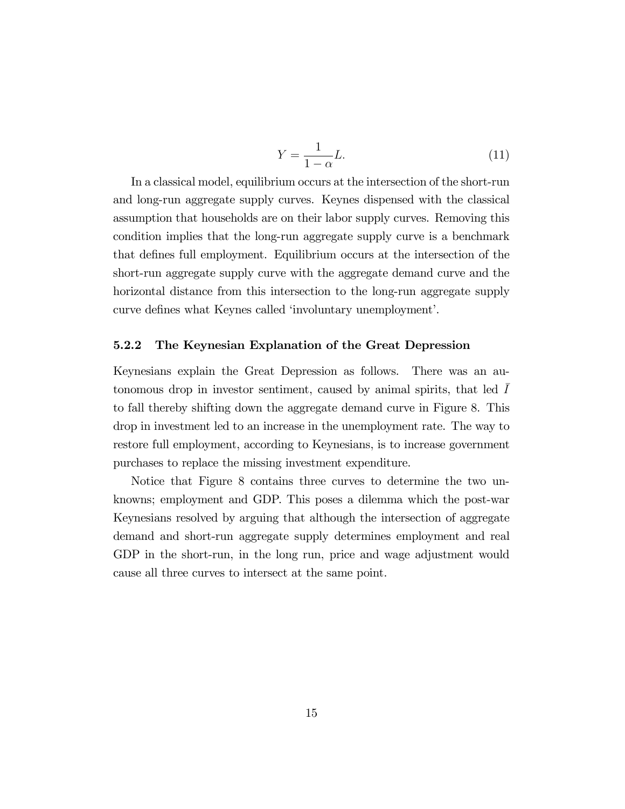$$
Y = \frac{1}{1 - \alpha} L.
$$
\n(11)

In a classical model, equilibrium occurs at the intersection of the short-run and long-run aggregate supply curves. Keynes dispensed with the classical assumption that households are on their labor supply curves. Removing this condition implies that the long-run aggregate supply curve is a benchmark that defines full employment. Equilibrium occurs at the intersection of the short-run aggregate supply curve with the aggregate demand curve and the horizontal distance from this intersection to the long-run aggregate supply curve defines what Keynes called 'involuntary unemployment'.

#### 5.2.2 The Keynesian Explanation of the Great Depression

Keynesians explain the Great Depression as follows. There was an autonomous drop in investor sentiment, caused by animal spirits, that led  $I$ to fall thereby shifting down the aggregate demand curve in Figure 8. This drop in investment led to an increase in the unemployment rate. The way to restore full employment, according to Keynesians, is to increase government purchases to replace the missing investment expenditure.

Notice that Figure 8 contains three curves to determine the two unknowns; employment and GDP. This poses a dilemma which the post-war Keynesians resolved by arguing that although the intersection of aggregate demand and short-run aggregate supply determines employment and real GDP in the short-run, in the long run, price and wage adjustment would cause all three curves to intersect at the same point.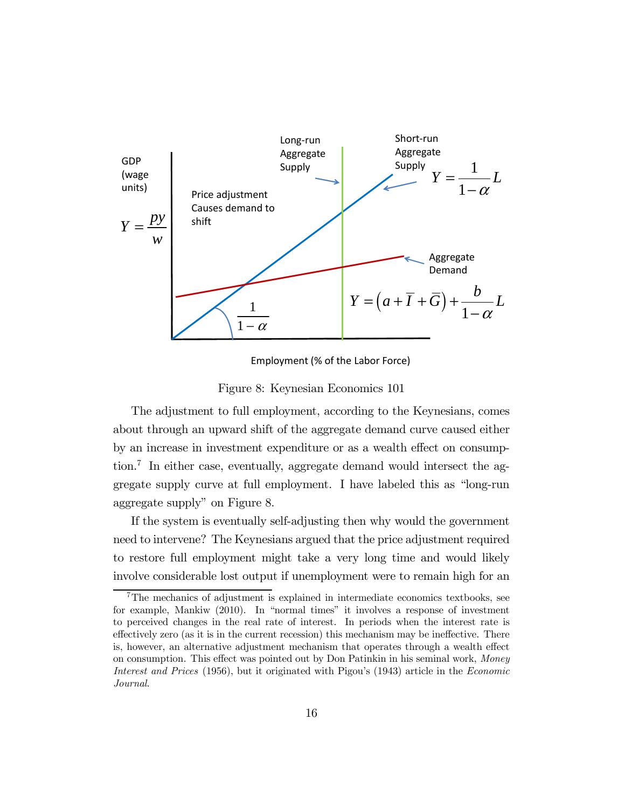

Employment (% of the Labor Force)

Figure 8: Keynesian Economics 101

The adjustment to full employment, according to the Keynesians, comes about through an upward shift of the aggregate demand curve caused either by an increase in investment expenditure or as a wealth effect on consumption.<sup>7</sup> In either case, eventually, aggregate demand would intersect the aggregate supply curve at full employment. I have labeled this as "long-run aggregate supply" on Figure 8.

If the system is eventually self-adjusting then why would the government need to intervene? The Keynesians argued that the price adjustment required to restore full employment might take a very long time and would likely involve considerable lost output if unemployment were to remain high for an

 $7$ The mechanics of adjustment is explained in intermediate economics textbooks, see for example, Mankiw (2010). In "normal times" it involves a response of investment to perceived changes in the real rate of interest. In periods when the interest rate is effectively zero (as it is in the current recession) this mechanism may be ineffective. There is, however, an alternative adjustment mechanism that operates through a wealth effect on consumption. This effect was pointed out by Don Patinkin in his seminal work, Money Interest and Prices (1956), but it originated with Pigou's (1943) article in the Economic Journal.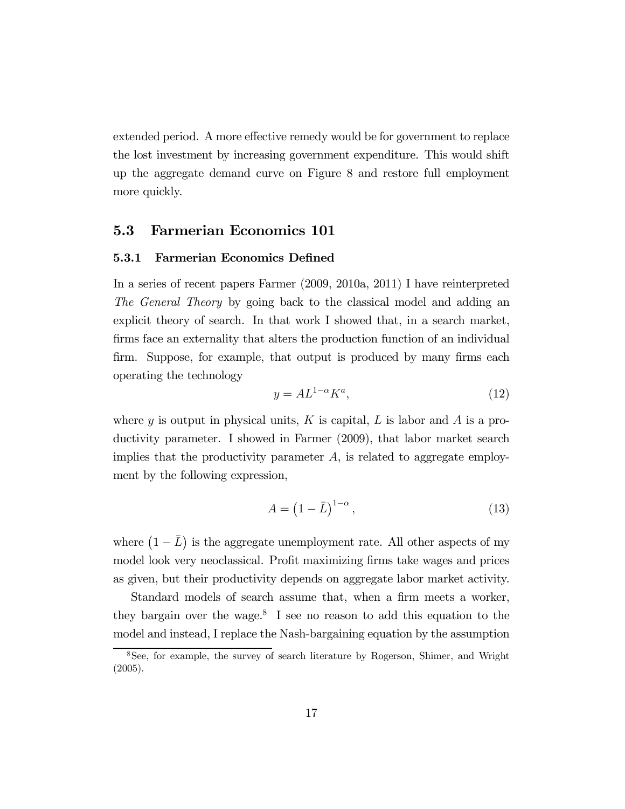extended period. A more effective remedy would be for government to replace the lost investment by increasing government expenditure. This would shift up the aggregate demand curve on Figure 8 and restore full employment more quickly.

### 5.3 Farmerian Economics 101

#### 5.3.1 Farmerian Economics Defined

In a series of recent papers Farmer (2009, 2010a, 2011) I have reinterpreted The General Theory by going back to the classical model and adding an explicit theory of search. In that work I showed that, in a search market, firms face an externality that alters the production function of an individual firm. Suppose, for example, that output is produced by many firms each operating the technology

$$
y = A L^{1-\alpha} K^a,\tag{12}
$$

where  $y$  is output in physical units,  $K$  is capital,  $L$  is labor and  $A$  is a productivity parameter. I showed in Farmer (2009), that labor market search implies that the productivity parameter  $A$ , is related to aggregate employment by the following expression,

$$
A = \left(1 - \bar{L}\right)^{1 - \alpha},\tag{13}
$$

where  $(1 - \bar{L})$  is the aggregate unemployment rate. All other aspects of my model look very neoclassical. Profit maximizing firms take wages and prices as given, but their productivity depends on aggregate labor market activity.

Standard models of search assume that, when a firm meets a worker, they bargain over the wage.<sup>8</sup> I see no reason to add this equation to the model and instead, I replace the Nash-bargaining equation by the assumption

<sup>8</sup>See, for example, the survey of search literature by Rogerson, Shimer, and Wright (2005).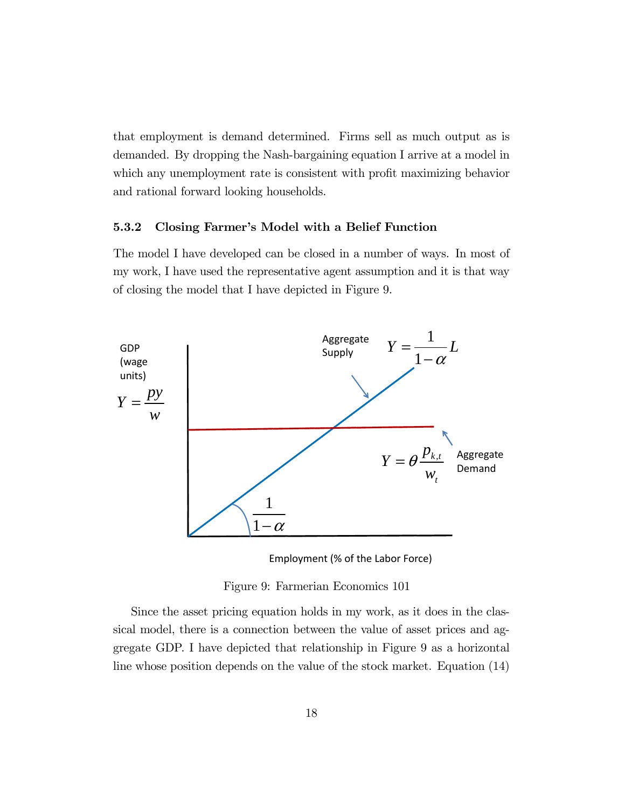that employment is demand determined. Firms sell as much output as is demanded. By dropping the Nash-bargaining equation I arrive at a model in which any unemployment rate is consistent with profit maximizing behavior and rational forward looking households.

#### 5.3.2 Closing Farmer's Model with a Belief Function

The model I have developed can be closed in a number of ways. In most of my work, I have used the representative agent assumption and it is that way of closing the model that I have depicted in Figure 9.





Figure 9: Farmerian Economics 101

Since the asset pricing equation holds in my work, as it does in the classical model, there is a connection between the value of asset prices and aggregate GDP. I have depicted that relationship in Figure 9 as a horizontal line whose position depends on the value of the stock market. Equation (14)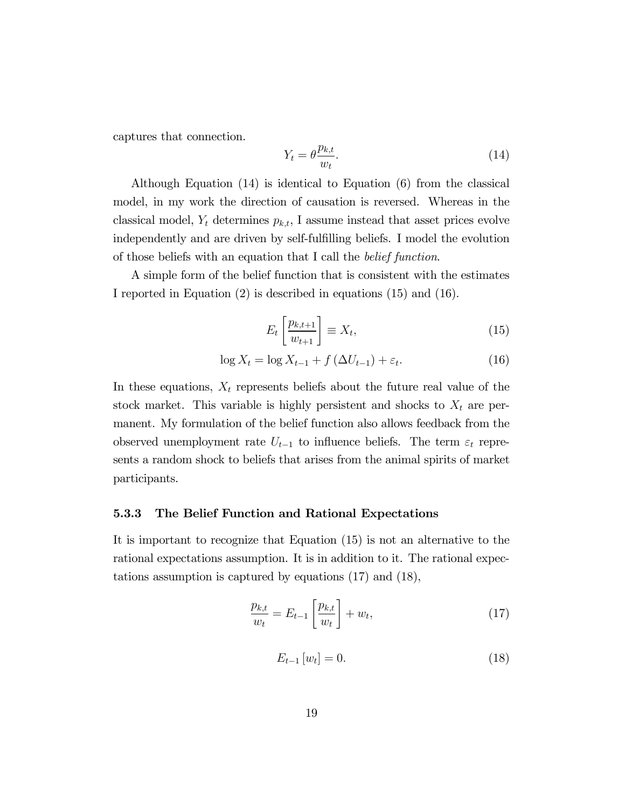captures that connection.

$$
Y_t = \theta \frac{p_{k,t}}{w_t}.\tag{14}
$$

Although Equation (14) is identical to Equation (6) from the classical model, in my work the direction of causation is reversed. Whereas in the classical model,  $Y_t$  determines  $p_{k,t}$ , I assume instead that asset prices evolve independently and are driven by self-fulfilling beliefs. I model the evolution of those beliefs with an equation that I call the belief function.

A simple form of the belief function that is consistent with the estimates I reported in Equation (2) is described in equations (15) and (16).

$$
E_t\left[\frac{p_{k,t+1}}{w_{t+1}}\right] \equiv X_t,\tag{15}
$$

$$
\log X_t = \log X_{t-1} + f\left(\Delta U_{t-1}\right) + \varepsilon_t. \tag{16}
$$

In these equations,  $X_t$  represents beliefs about the future real value of the stock market. This variable is highly persistent and shocks to  $X_t$  are permanent. My formulation of the belief function also allows feedback from the observed unemployment rate  $U_{t-1}$  to influence beliefs. The term  $\varepsilon_t$  represents a random shock to beliefs that arises from the animal spirits of market participants.

#### 5.3.3 The Belief Function and Rational Expectations

It is important to recognize that Equation (15) is not an alternative to the rational expectations assumption. It is in addition to it. The rational expectations assumption is captured by equations (17) and (18),

$$
\frac{p_{k,t}}{w_t} = E_{t-1} \left[ \frac{p_{k,t}}{w_t} \right] + w_t,
$$
\n(17)

$$
E_{t-1}[w_t] = 0.\t\t(18)
$$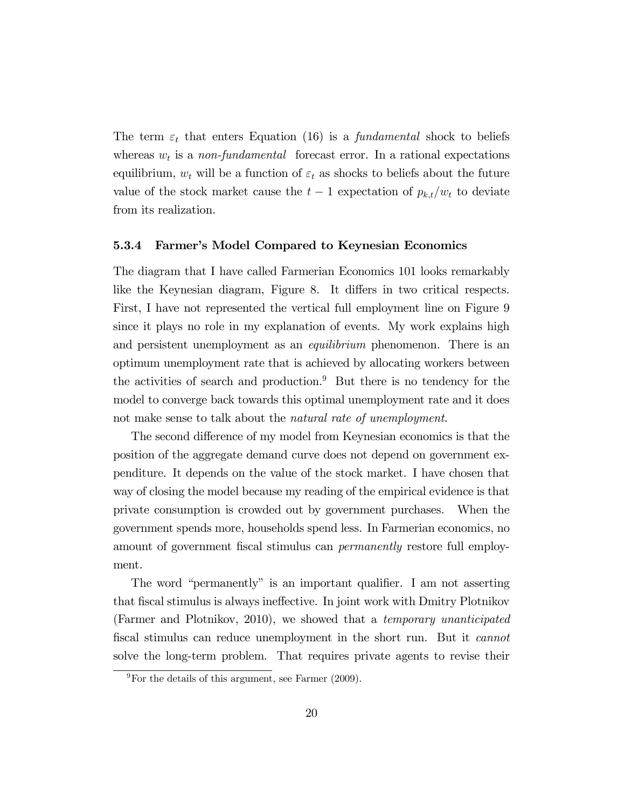The term  $\varepsilon_t$  that enters Equation (16) is a *fundamental* shock to beliefs whereas  $w_t$  is a non-fundamental forecast error. In a rational expectations equilibrium,  $w_t$  will be a function of  $\varepsilon_t$  as shocks to beliefs about the future value of the stock market cause the  $t-1$  expectation of  $p_{k,t}/w_t$  to deviate from its realization.

#### 5.3.4 Farmer's Model Compared to Keynesian Economics

The diagram that I have called Farmerian Economics 101 looks remarkably like the Keynesian diagram, Figure 8. It differs in two critical respects. First, I have not represented the vertical full employment line on Figure 9 since it plays no role in my explanation of events. My work explains high and persistent unemployment as an *equilibrium* phenomenon. There is an optimum unemployment rate that is achieved by allocating workers between the activities of search and production.<sup>9</sup> But there is no tendency for the model to converge back towards this optimal unemployment rate and it does not make sense to talk about the *natural rate of unemployment*.

The second difference of my model from Keynesian economics is that the position of the aggregate demand curve does not depend on government expenditure. It depends on the value of the stock market. I have chosen that way of closing the model because my reading of the empirical evidence is that private consumption is crowded out by government purchases. When the government spends more, households spend less. In Farmerian economics, no amount of government fiscal stimulus can permanently restore full employment.

The word "permanently" is an important qualifier. I am not asserting that fiscal stimulus is always ineffective. In joint work with Dmitry Plotnikov (Farmer and Plotnikov, 2010), we showed that a temporary unanticipated fiscal stimulus can reduce unemployment in the short run. But it cannot solve the long-term problem. That requires private agents to revise their

 $9$ For the details of this argument, see Farmer (2009).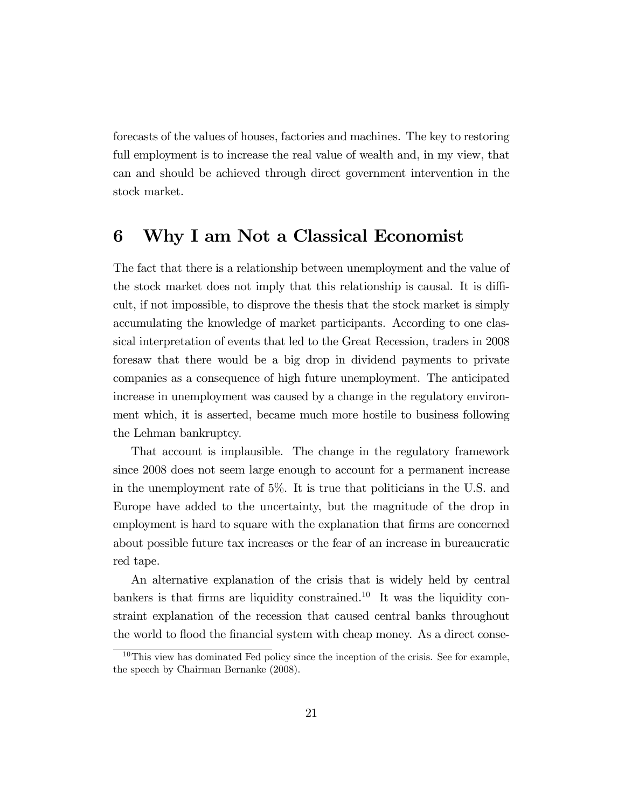forecasts of the values of houses, factories and machines. The key to restoring full employment is to increase the real value of wealth and, in my view, that can and should be achieved through direct government intervention in the stock market.

# 6 Why I am Not a Classical Economist

The fact that there is a relationship between unemployment and the value of the stock market does not imply that this relationship is causal. It is difficult, if not impossible, to disprove the thesis that the stock market is simply accumulating the knowledge of market participants. According to one classical interpretation of events that led to the Great Recession, traders in 2008 foresaw that there would be a big drop in dividend payments to private companies as a consequence of high future unemployment. The anticipated increase in unemployment was caused by a change in the regulatory environment which, it is asserted, became much more hostile to business following the Lehman bankruptcy.

That account is implausible. The change in the regulatory framework since 2008 does not seem large enough to account for a permanent increase in the unemployment rate of 5%. It is true that politicians in the U.S. and Europe have added to the uncertainty, but the magnitude of the drop in employment is hard to square with the explanation that firms are concerned about possible future tax increases or the fear of an increase in bureaucratic red tape.

An alternative explanation of the crisis that is widely held by central bankers is that firms are liquidity constrained.<sup>10</sup> It was the liquidity constraint explanation of the recession that caused central banks throughout the world to flood the financial system with cheap money. As a direct conse-

 $10$ This view has dominated Fed policy since the inception of the crisis. See for example, the speech by Chairman Bernanke (2008).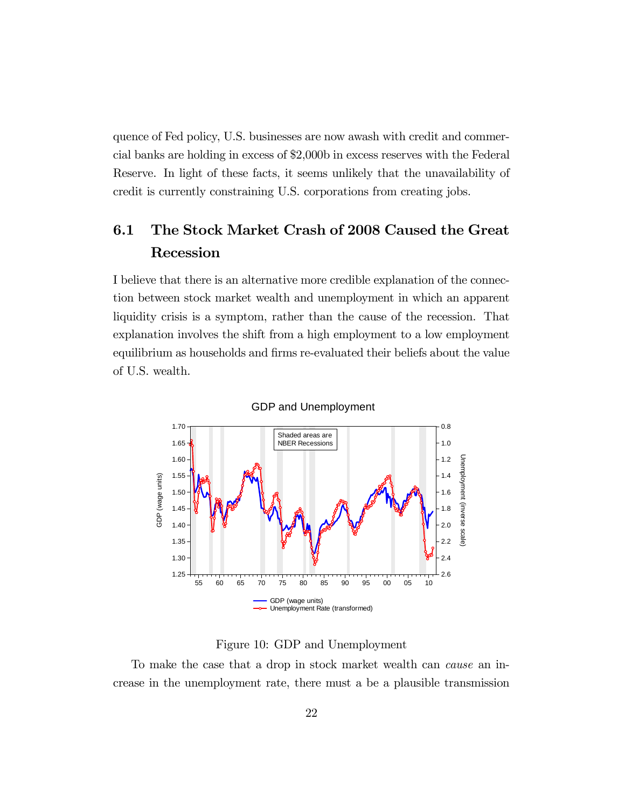quence of Fed policy, U.S. businesses are now awash with credit and commercial banks are holding in excess of \$2,000b in excess reserves with the Federal Reserve. In light of these facts, it seems unlikely that the unavailability of credit is currently constraining U.S. corporations from creating jobs.

# 6.1 The Stock Market Crash of 2008 Caused the Great Recession

I believe that there is an alternative more credible explanation of the connection between stock market wealth and unemployment in which an apparent liquidity crisis is a symptom, rather than the cause of the recession. That explanation involves the shift from a high employment to a low employment equilibrium as households and firms re-evaluated their beliefs about the value of U.S. wealth.



GDP and Unemployment

Figure 10: GDP and Unemployment

To make the case that a drop in stock market wealth can cause an increase in the unemployment rate, there must a be a plausible transmission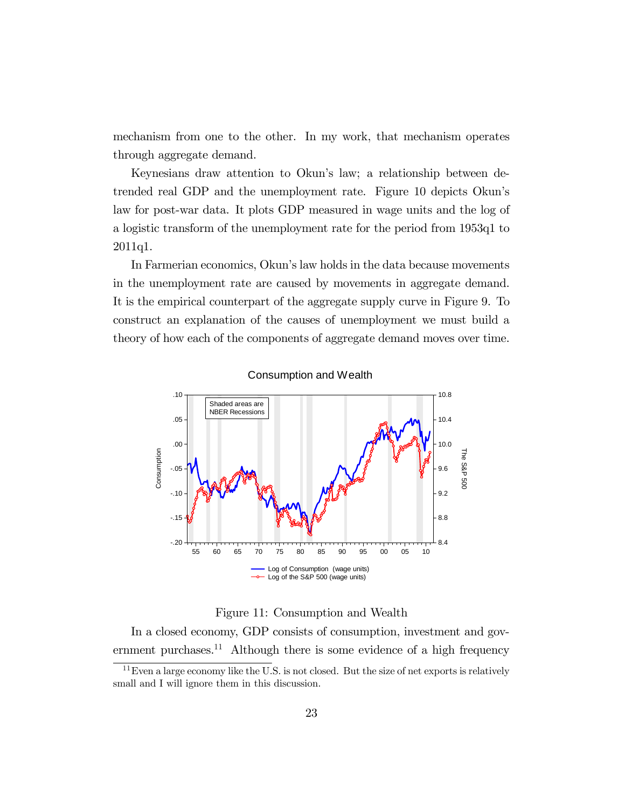mechanism from one to the other. In my work, that mechanism operates through aggregate demand.

Keynesians draw attention to Okun's law; a relationship between detrended real GDP and the unemployment rate. Figure 10 depicts Okun's law for post-war data. It plots GDP measured in wage units and the log of a logistic transform of the unemployment rate for the period from 1953q1 to 2011q1.

In Farmerian economics, Okun's law holds in the data because movements in the unemployment rate are caused by movements in aggregate demand. It is the empirical counterpart of the aggregate supply curve in Figure 9. To construct an explanation of the causes of unemployment we must build a theory of how each of the components of aggregate demand moves over time.



Consumption and Wealth

Figure 11: Consumption and Wealth

In a closed economy, GDP consists of consumption, investment and government purchases.<sup>11</sup> Although there is some evidence of a high frequency

 $11$  Even a large economy like the U.S. is not closed. But the size of net exports is relatively small and I will ignore them in this discussion.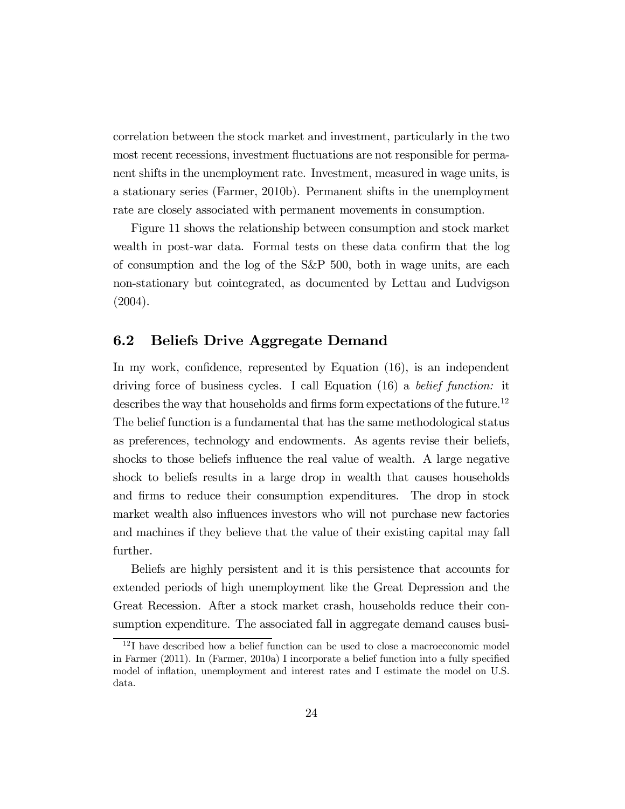correlation between the stock market and investment, particularly in the two most recent recessions, investment fluctuations are not responsible for permanent shifts in the unemployment rate. Investment, measured in wage units, is a stationary series (Farmer, 2010b). Permanent shifts in the unemployment rate are closely associated with permanent movements in consumption.

Figure 11 shows the relationship between consumption and stock market wealth in post-war data. Formal tests on these data confirm that the log of consumption and the log of the S&P 500, both in wage units, are each non-stationary but cointegrated, as documented by Lettau and Ludvigson (2004).

## 6.2 Beliefs Drive Aggregate Demand

In my work, confidence, represented by Equation (16), is an independent driving force of business cycles. I call Equation (16) a belief function: it describes the way that households and firms form expectations of the future.<sup>12</sup> The belief function is a fundamental that has the same methodological status as preferences, technology and endowments. As agents revise their beliefs, shocks to those beliefs influence the real value of wealth. A large negative shock to beliefs results in a large drop in wealth that causes households and firms to reduce their consumption expenditures. The drop in stock market wealth also influences investors who will not purchase new factories and machines if they believe that the value of their existing capital may fall further.

Beliefs are highly persistent and it is this persistence that accounts for extended periods of high unemployment like the Great Depression and the Great Recession. After a stock market crash, households reduce their consumption expenditure. The associated fall in aggregate demand causes busi-

<sup>&</sup>lt;sup>12</sup>I have described how a belief function can be used to close a macroeconomic model in Farmer (2011). In (Farmer, 2010a) I incorporate a belief function into a fully specified model of inflation, unemployment and interest rates and I estimate the model on U.S. data.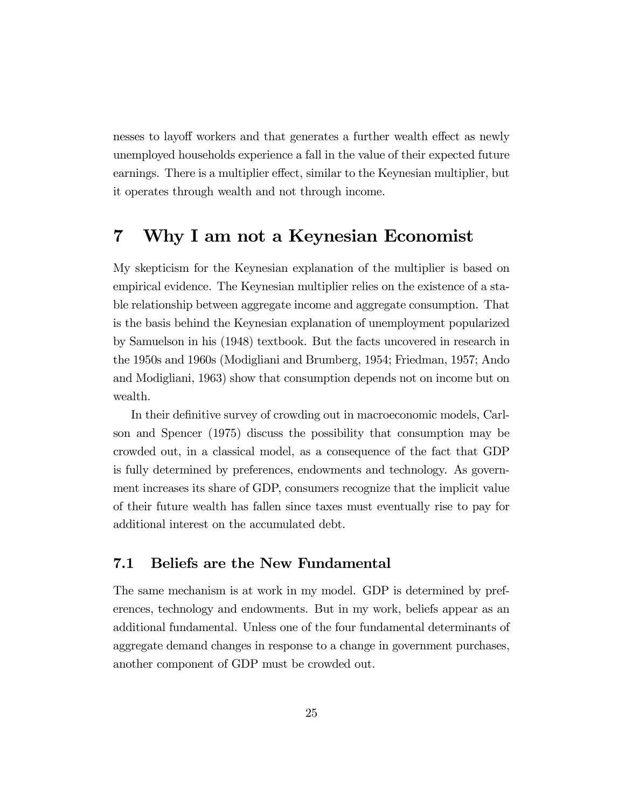nesses to layoff workers and that generates a further wealth effect as newly unemployed households experience a fall in the value of their expected future earnings. There is a multiplier effect, similar to the Keynesian multiplier, but it operates through wealth and not through income.

# 7 Why I am not a Keynesian Economist

My skepticism for the Keynesian explanation of the multiplier is based on empirical evidence. The Keynesian multiplier relies on the existence of a stable relationship between aggregate income and aggregate consumption. That is the basis behind the Keynesian explanation of unemployment popularized by Samuelson in his (1948) textbook. But the facts uncovered in research in the 1950s and 1960s (Modigliani and Brumberg, 1954; Friedman, 1957; Ando and Modigliani, 1963) show that consumption depends not on income but on wealth.

In their definitive survey of crowding out in macroeconomic models, Carlson and Spencer (1975) discuss the possibility that consumption may be crowded out, in a classical model, as a consequence of the fact that GDP is fully determined by preferences, endowments and technology. As government increases its share of GDP, consumers recognize that the implicit value of their future wealth has fallen since taxes must eventually rise to pay for additional interest on the accumulated debt.

## 7.1 Beliefs are the New Fundamental

The same mechanism is at work in my model. GDP is determined by preferences, technology and endowments. But in my work, beliefs appear as an additional fundamental. Unless one of the four fundamental determinants of aggregate demand changes in response to a change in government purchases, another component of GDP must be crowded out.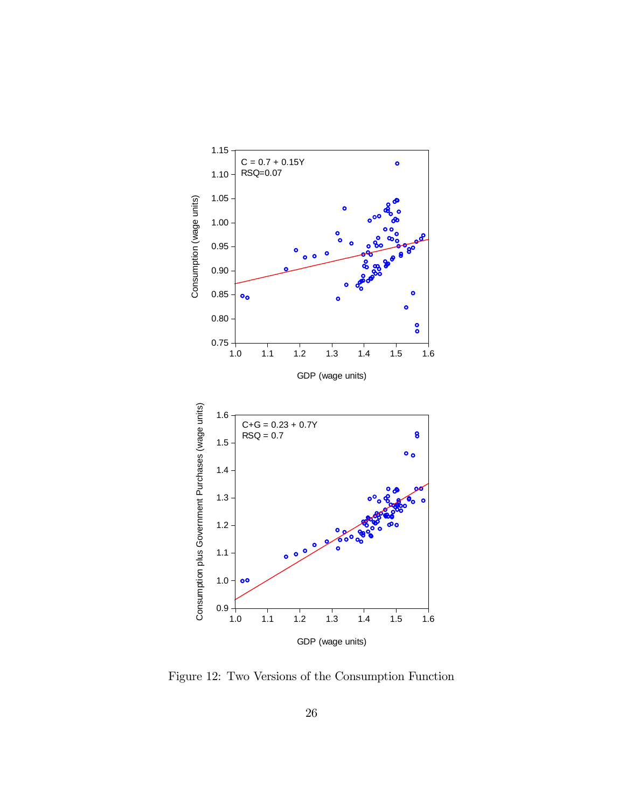

Figure 12: Two Versions of the Consumption Function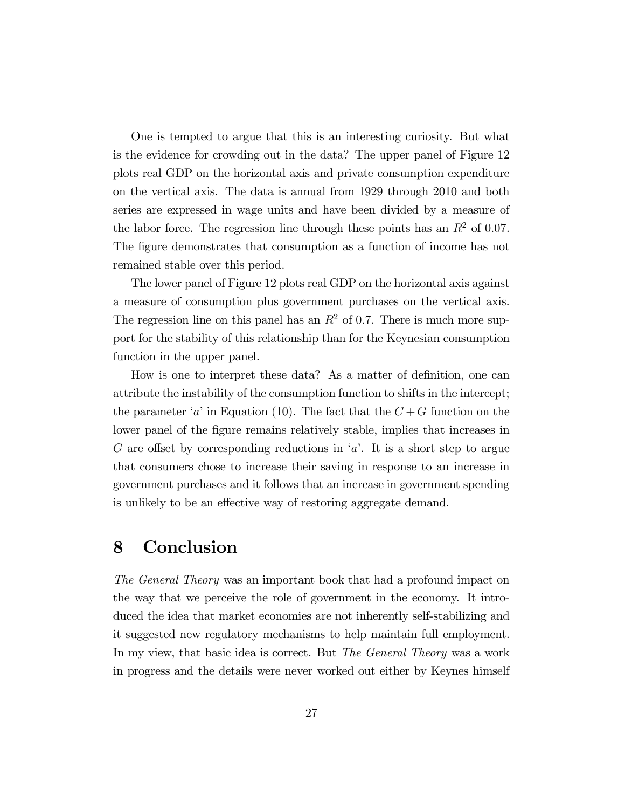One is tempted to argue that this is an interesting curiosity. But what is the evidence for crowding out in the data? The upper panel of Figure 12 plots real GDP on the horizontal axis and private consumption expenditure on the vertical axis. The data is annual from 1929 through 2010 and both series are expressed in wage units and have been divided by a measure of the labor force. The regression line through these points has an  $R<sup>2</sup>$  of 0.07. The figure demonstrates that consumption as a function of income has not remained stable over this period.

The lower panel of Figure 12 plots real GDP on the horizontal axis against a measure of consumption plus government purchases on the vertical axis. The regression line on this panel has an  $R^2$  of 0.7. There is much more support for the stability of this relationship than for the Keynesian consumption function in the upper panel.

How is one to interpret these data? As a matter of definition, one can attribute the instability of the consumption function to shifts in the intercept; the parameter 'a' in Equation (10). The fact that the  $C+G$  function on the lower panel of the figure remains relatively stable, implies that increases in G are offset by corresponding reductions in 'a'. It is a short step to argue that consumers chose to increase their saving in response to an increase in government purchases and it follows that an increase in government spending is unlikely to be an effective way of restoring aggregate demand.

## 8 Conclusion

The General Theory was an important book that had a profound impact on the way that we perceive the role of government in the economy. It introduced the idea that market economies are not inherently self-stabilizing and it suggested new regulatory mechanisms to help maintain full employment. In my view, that basic idea is correct. But *The General Theory* was a work in progress and the details were never worked out either by Keynes himself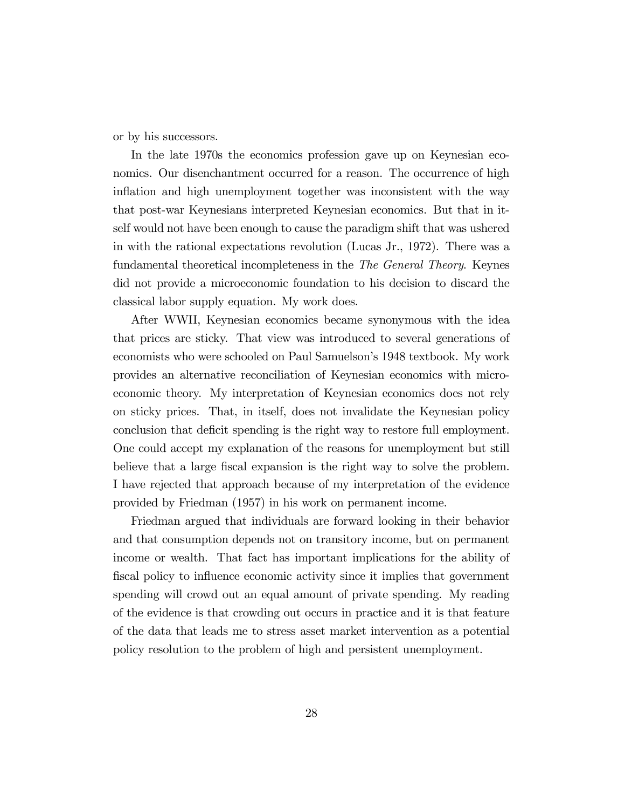or by his successors.

In the late 1970s the economics profession gave up on Keynesian economics. Our disenchantment occurred for a reason. The occurrence of high inflation and high unemployment together was inconsistent with the way that post-war Keynesians interpreted Keynesian economics. But that in itself would not have been enough to cause the paradigm shift that was ushered in with the rational expectations revolution (Lucas Jr., 1972). There was a fundamental theoretical incompleteness in the The General Theory. Keynes did not provide a microeconomic foundation to his decision to discard the classical labor supply equation. My work does.

After WWII, Keynesian economics became synonymous with the idea that prices are sticky. That view was introduced to several generations of economists who were schooled on Paul Samuelson's 1948 textbook. My work provides an alternative reconciliation of Keynesian economics with microeconomic theory. My interpretation of Keynesian economics does not rely on sticky prices. That, in itself, does not invalidate the Keynesian policy conclusion that deficit spending is the right way to restore full employment. One could accept my explanation of the reasons for unemployment but still believe that a large fiscal expansion is the right way to solve the problem. I have rejected that approach because of my interpretation of the evidence provided by Friedman (1957) in his work on permanent income.

Friedman argued that individuals are forward looking in their behavior and that consumption depends not on transitory income, but on permanent income or wealth. That fact has important implications for the ability of fiscal policy to influence economic activity since it implies that government spending will crowd out an equal amount of private spending. My reading of the evidence is that crowding out occurs in practice and it is that feature of the data that leads me to stress asset market intervention as a potential policy resolution to the problem of high and persistent unemployment.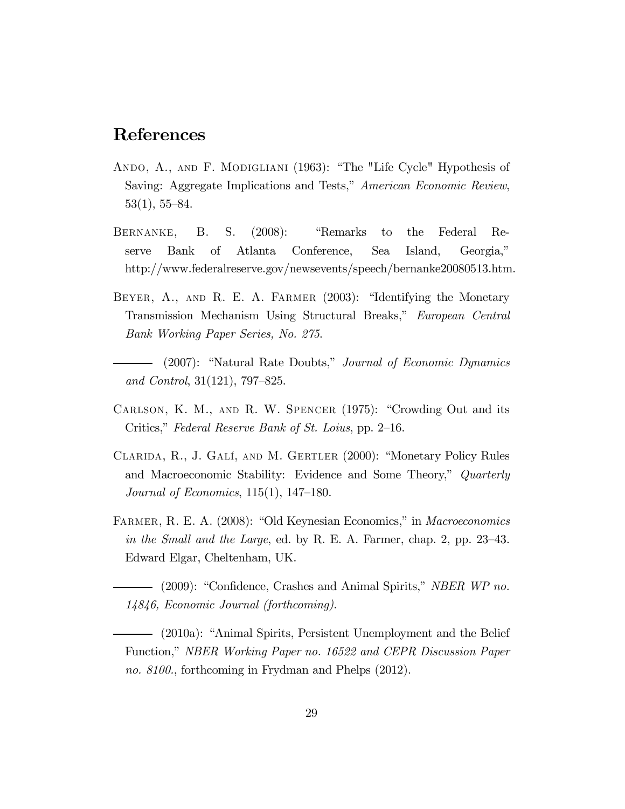## References

- ANDO, A., AND F. MODIGLIANI (1963): "The "Life Cycle" Hypothesis of Saving: Aggregate Implications and Tests," American Economic Review, 53(1), 55—84.
- Bernanke, B. S. (2008): "Remarks to the Federal Reserve Bank of Atlanta Conference, Sea Island, Georgia," http://www.federalreserve.gov/newsevents/speech/bernanke20080513.htm.
- Beyer, A., and R. E. A. Farmer (2003): "Identifying the Monetary Transmission Mechanism Using Structural Breaks," European Central Bank Working Paper Series, No. 275.
- (2007): "Natural Rate Doubts," Journal of Economic Dynamics and Control, 31(121), 797—825.
- Carlson, K. M., and R. W. Spencer (1975): "Crowding Out and its Critics," Federal Reserve Bank of St. Loius, pp. 2—16.
- Clarida, R., J. Galí, and M. Gertler (2000): "Monetary Policy Rules and Macroeconomic Stability: Evidence and Some Theory," Quarterly Journal of Economics, 115(1), 147—180.
- Farmer, R. E. A. (2008): "Old Keynesian Economics," in Macroeconomics in the Small and the Large, ed. by R. E. A. Farmer, chap. 2, pp. 23—43. Edward Elgar, Cheltenham, UK.
	- (2009): "Confidence, Crashes and Animal Spirits," NBER WP no. 14846, Economic Journal (forthcoming).
	- (2010a): "Animal Spirits, Persistent Unemployment and the Belief Function," NBER Working Paper no. 16522 and CEPR Discussion Paper no. 8100., forthcoming in Frydman and Phelps (2012).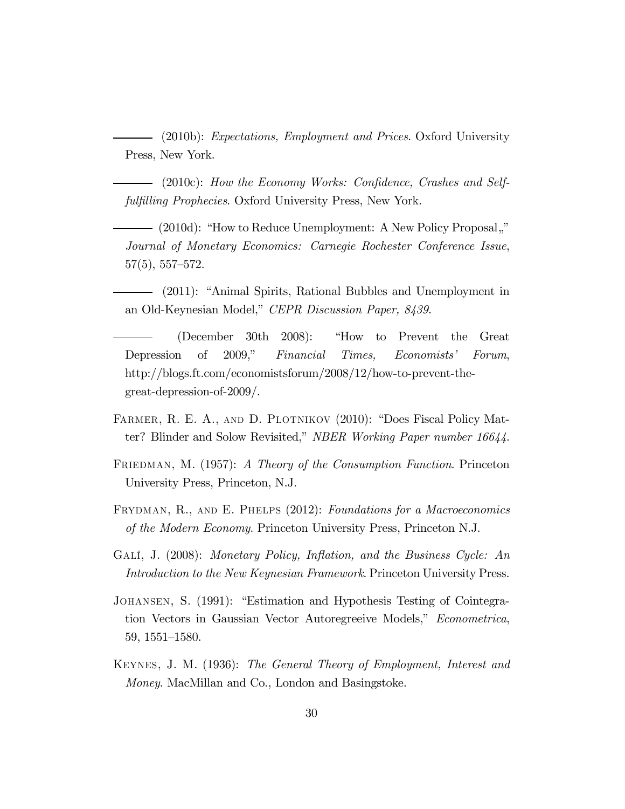(2010b): Expectations, Employment and Prices. Oxford University Press, New York.

(2010c): How the Economy Works: Confidence, Crashes and Selffulfilling Prophecies. Oxford University Press, New York.

- (2010d): "How to Reduce Unemployment: A New Policy Proposal," Journal of Monetary Economics: Carnegie Rochester Conference Issue, 57(5), 557—572.

(2011): "Animal Spirits, Rational Bubbles and Unemployment in an Old-Keynesian Model," CEPR Discussion Paper, 8439.

(December 30th 2008): "How to Prevent the Great Depression of 2009," Financial Times, Economists' Forum, http://blogs.ft.com/economistsforum/2008/12/how-to-prevent-thegreat-depression-of-2009/.

- FARMER, R. E. A., AND D. PLOTNIKOV (2010): "Does Fiscal Policy Matter? Blinder and Solow Revisited," NBER Working Paper number 16644.
- FRIEDMAN, M. (1957): A Theory of the Consumption Function. Princeton University Press, Princeton, N.J.
- FRYDMAN, R., AND E. PHELPS (2012): Foundations for a Macroeconomics of the Modern Economy. Princeton University Press, Princeton N.J.
- GALÍ, J. (2008): Monetary Policy, Inflation, and the Business Cycle: An Introduction to the New Keynesian Framework. Princeton University Press.
- Johansen, S. (1991): "Estimation and Hypothesis Testing of Cointegration Vectors in Gaussian Vector Autoregreeive Models," Econometrica, 59, 1551—1580.
- Keynes, J. M. (1936): The General Theory of Employment, Interest and Money. MacMillan and Co., London and Basingstoke.